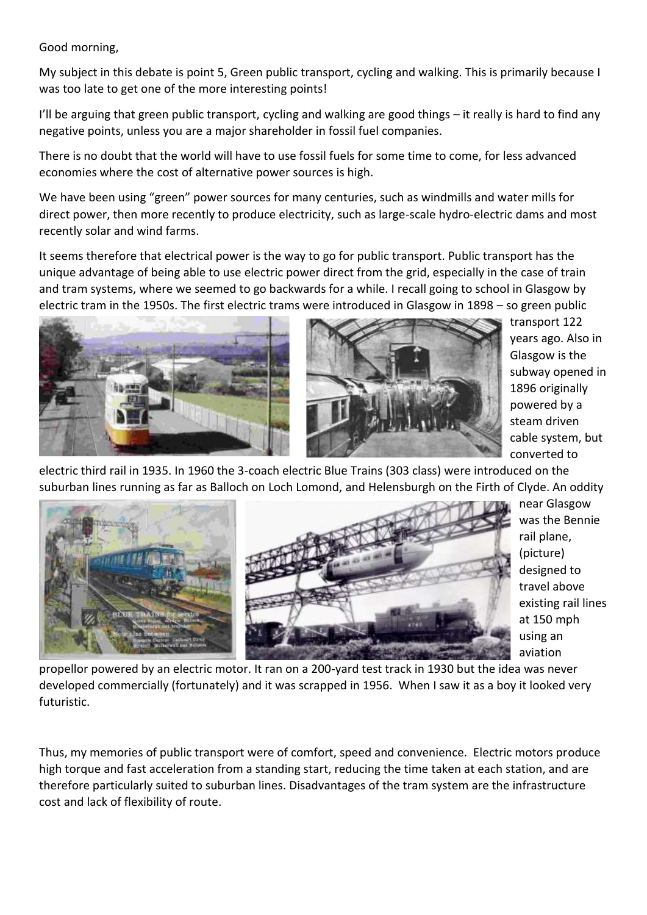Good morning,

My subject in this debate is point 5, Green public transport, cycling and walking. This is primarily because I was too late to get one of the more interesting points!

I'll be arguing that green public transport, cycling and walking are good things – it really is hard to find any negative points, unless you are a major shareholder in fossil fuel companies.

There is no doubt that the world will have to use fossil fuels for some time to come, for less advanced economies where the cost of alternative power sources is high.

We have been using "green" power sources for many centuries, such as windmills and water mills for direct power, then more recently to produce electricity, such as large-scale hydro-electric dams and most recently solar and wind farms.

It seems therefore that electrical power is the way to go for public transport. Public transport has the unique advantage of being able to use electric power direct from the grid, especially in the case of train and tram systems, where we seemed to go backwards for a while. I recall going to school in Glasgow by electric tram in the 1950s. The first electric trams were introduced in Glasgow in 1898 – so green public





transport 122 years ago. Also in Glasgow is the subway opened in 1896 originally powered by a steam driven cable system, but converted to

electric third rail in 1935. In 1960 the 3-coach electric Blue Trains (303 class) were introduced on the suburban lines running as far as Balloch on Loch Lomond, and Helensburgh on the Firth of Clyde. An oddity



near Glasgow was the Bennie rail plane, (picture) designed to travel above existing rail lines at 150 mph using an aviation

propellor powered by an electric motor. It ran on a 200-yard test track in 1930 but the idea was never developed commercially (fortunately) and it was scrapped in 1956. When I saw it as a boy it looked very futuristic.

Thus, my memories of public transport were of comfort, speed and convenience. Electric motors produce high torque and fast acceleration from a standing start, reducing the time taken at each station, and are therefore particularly suited to suburban lines. Disadvantages of the tram system are the infrastructure cost and lack of flexibility of route.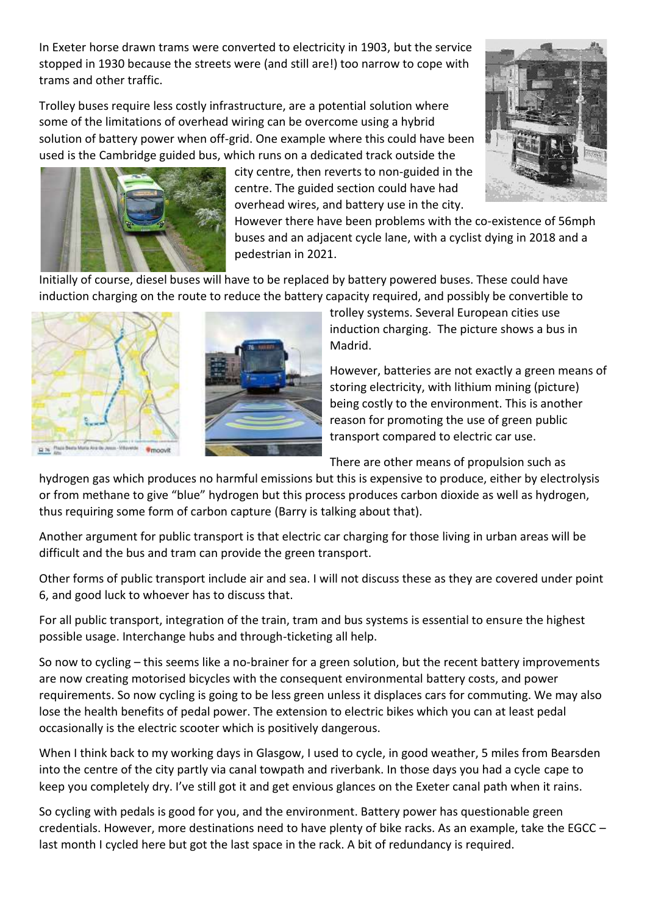In Exeter horse drawn trams were converted to electricity in 1903, but the service stopped in 1930 because the streets were (and still are!) too narrow to cope with trams and other traffic.

Trolley buses require less costly infrastructure, are a potential solution where some of the limitations of overhead wiring can be overcome using a hybrid solution of battery power when off-grid. One example where this could have been used is the Cambridge guided bus, which runs on a dedicated track outside the



city centre, then reverts to non-guided in the centre. The guided section could have had overhead wires, and battery use in the city.

However there have been problems with the co-existence of 56mph buses and an adjacent cycle lane, with a cyclist dying in 2018 and a pedestrian in 2021.

Initially of course, diesel buses will have to be replaced by battery powered buses. These could have induction charging on the route to reduce the battery capacity required, and possibly be convertible to



**\*moovit** 



trolley systems. Several European cities use induction charging. The picture shows a bus in Madrid.

However, batteries are not exactly a green means of storing electricity, with lithium mining (picture) being costly to the environment. This is another reason for promoting the use of green public transport compared to electric car use.

There are other means of propulsion such as

hydrogen gas which produces no harmful emissions but this is expensive to produce, either by electrolysis or from methane to give "blue" hydrogen but this process produces carbon dioxide as well as hydrogen, thus requiring some form of carbon capture (Barry is talking about that).

Another argument for public transport is that electric car charging for those living in urban areas will be difficult and the bus and tram can provide the green transport.

Other forms of public transport include air and sea. I will not discuss these as they are covered under point 6, and good luck to whoever has to discuss that.

For all public transport, integration of the train, tram and bus systems is essential to ensure the highest possible usage. Interchange hubs and through-ticketing all help.

So now to cycling – this seems like a no-brainer for a green solution, but the recent battery improvements are now creating motorised bicycles with the consequent environmental battery costs, and power requirements. So now cycling is going to be less green unless it displaces cars for commuting. We may also lose the health benefits of pedal power. The extension to electric bikes which you can at least pedal occasionally is the electric scooter which is positively dangerous.

When I think back to my working days in Glasgow, I used to cycle, in good weather, 5 miles from Bearsden into the centre of the city partly via canal towpath and riverbank. In those days you had a cycle cape to keep you completely dry. I've still got it and get envious glances on the Exeter canal path when it rains.

So cycling with pedals is good for you, and the environment. Battery power has questionable green credentials. However, more destinations need to have plenty of bike racks. As an example, take the EGCC – last month I cycled here but got the last space in the rack. A bit of redundancy is required.